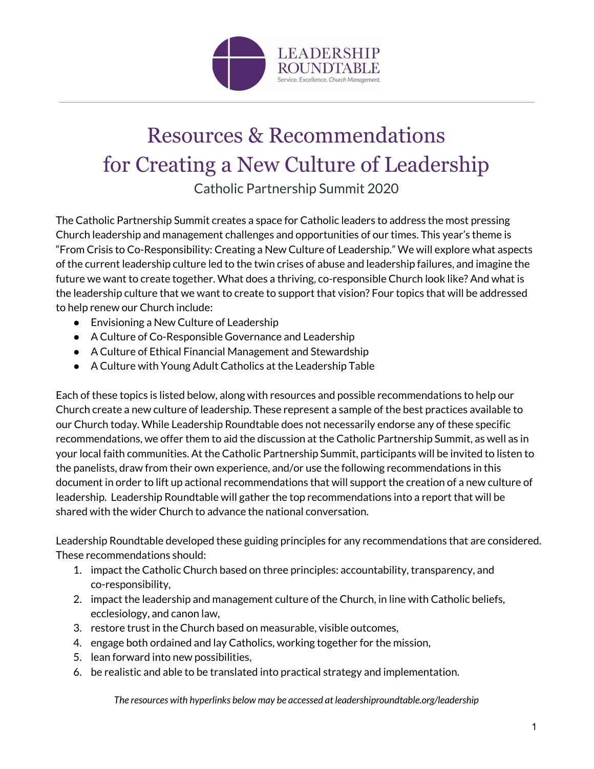

# Resources & Recommendations for Creating a New Culture of Leadership

Catholic Partnership Summit 2020

The Catholic Partnership Summit creates a space for Catholic leaders to address the most pressing Church leadership and management challenges and opportunities of our times. This year's theme is "From Crisis to Co-Responsibility: Creating a New Culture of Leadership." We will explore what aspects of the current leadership culture led to the twin crises of abuse and leadership failures, and imagine the future we want to create together. What does a thriving, co-responsible Church look like? And what is the leadership culture that we want to create to support that vision? Four topics that will be addressed to help renew our Church include:

- Envisioning a New Culture of Leadership
- A Culture of Co-Responsible Governance and Leadership
- A Culture of Ethical Financial Management and Stewardship
- A Culture with Young Adult Catholics at the Leadership Table

Each of these topics is listed below, along with resources and possible recommendations to help our Church create a new culture of leadership. These represent a sample of the best practices available to our Church today. While Leadership Roundtable does not necessarily endorse any of these specific recommendations, we offer them to aid the discussion at the Catholic Partnership Summit, as well as in your local faith communities. At the Catholic Partnership Summit, participants will be invited to listen to the panelists, draw from their own experience, and/or use the following recommendations in this document in order to lift up actional recommendations that will support the creation of a new culture of leadership. Leadership Roundtable will gather the top recommendations into a report that will be shared with the wider Church to advance the national conversation.

Leadership Roundtable developed these guiding principles for any recommendations that are considered. These recommendations should:

- 1. impact the Catholic Church based on three principles: accountability, transparency, and co-responsibility,
- 2. impact the leadership and management culture of the Church, in line with Catholic beliefs, ecclesiology, and canon law,
- 3. restore trust in the Church based on measurable, visible outcomes,
- 4. engage both ordained and lay Catholics, working together for the mission,
- 5. lean forward into new possibilities,
- 6. be realistic and able to be translated into practical strategy and implementation.

*The resources with hyperlinks below may be accessed at leadershiproundtable.org/leadership*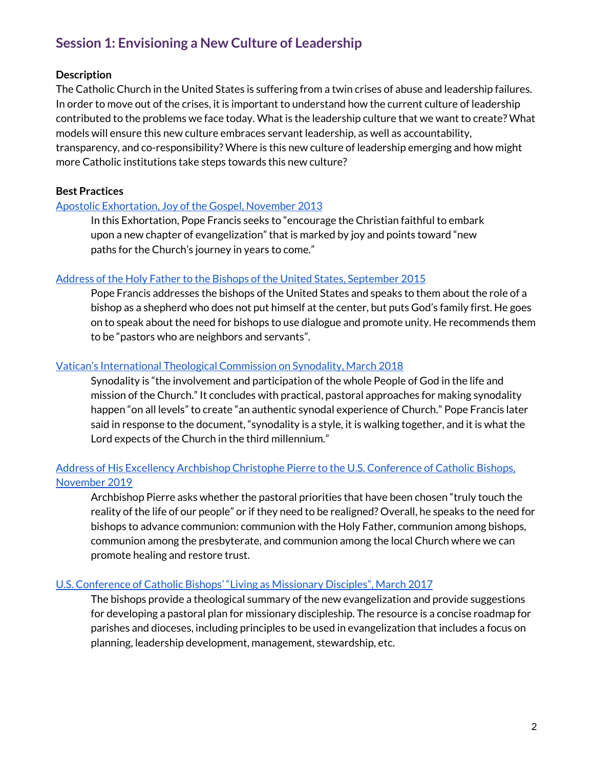# **Session 1: Envisioning a New Culture of Leadership**

# **Description**

The Catholic Church in the United States is suffering from a twin crises of abuse and leadership failures. In order to move out of the crises, it is important to understand how the current culture of leadership contributed to the problems we face today. What is the leadership culture that we want to create? What models will ensure this new culture embraces servant leadership, as well as accountability, transparency, and co-responsibility? Where is this new culture of leadership emerging and how might more Catholic institutions take steps towards this new culture?

# **Best Practices**

# Apostolic [Exhortation,](http://www.vatican.va/content/francesco/en/apost_exhortations/documents/papa-francesco_esortazione-ap_20131124_evangelii-gaudium.html) Joy of the Gospel, November 2013

In this Exhortation, Pope Francis seeks to "encourage the Christian faithful to embark upon a new chapter of evangelization" that is marked by joy and points toward "new paths for the Church's journey in years to come."

#### Address of the Holy Father to the Bishops of the United States, [September](http://www.vatican.va/content/francesco/en/speeches/2015/september/documents/papa-francesco_20150923_usa-vescovi.html) 2015

Pope Francis addresses the bishops of the United States and speaks to them about the role of a bishop as a shepherd who does not put himself at the center, but puts God's family first. He goes on to speak about the need for bishops to use dialogue and promote unity. He recommends them to be "pastors who are neighbors and servants".

# Vatican's [International](http://www.vatican.va/roman_curia/congregations/cfaith/cti_documents/rc_cti_20180302_sinodalita_en.html) Theological Commission on Synodality, March 2018

Synodality is "the involvement and participation of the whole People of God in the life and mission of the Church." It concludes with practical, pastoral approaches for making synodality happen "on all levels" to create "an authentic synodal experience of Church." Pope Francis later said in response to the document, "synodality is a style, it is walking together, and it is what the Lord expects of the Church in the third millennium."

# Address of His Excellency Archbishop Christophe Pierre to the U.S. [Conference](http://www.usccb.org/about/leadership/usccb-general-assembly/2019-november-meeting/upload/usccb-assembly-2019-11-nov-nuncio-speech-20191111.pdf) of Catholic Bishops, [November](http://www.usccb.org/about/leadership/usccb-general-assembly/2019-november-meeting/upload/usccb-assembly-2019-11-nov-nuncio-speech-20191111.pdf) 2019

Archbishop Pierre asks whether the pastoral priorities that have been chosen "truly touch the reality of the life of our people" or if they need to be realigned? Overall, he speaks to the need for bishops to advance communion: communion with the Holy Father, communion among bishops, communion among the presbyterate, and communion among the local Church where we can promote healing and restore trust.

#### U.S. [Conference](http://ccc.usccb.org/flipbooks/living-as-missionary-disciples/files/assets/basic-html/page-I.html#) of Catholic Bishops' "Living as Missionary Disciples", March 2017

The bishops provide a theological summary of the new evangelization and provide suggestions for developing a pastoral plan for missionary discipleship. The resource is a concise roadmap for parishes and dioceses, including principles to be used in evangelization that includes a focus on planning, leadership development, management, stewardship, etc.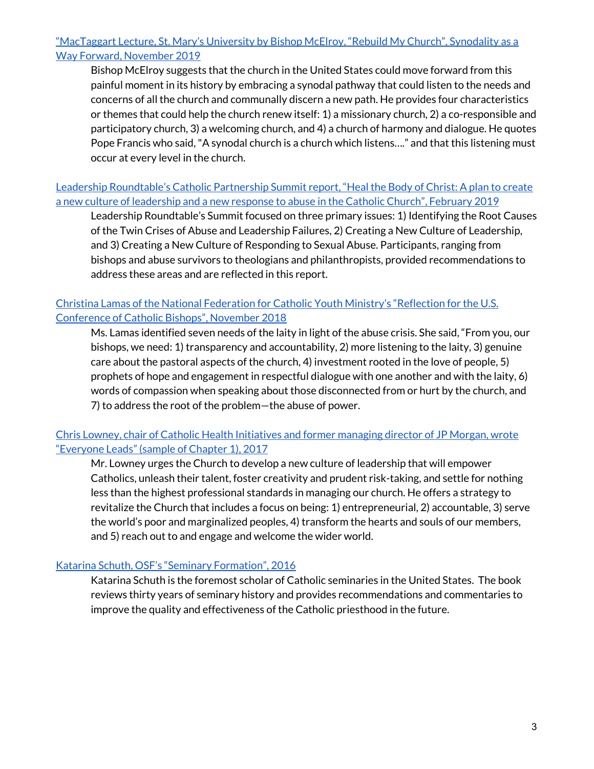# ["MacTaggart](https://www.ncronline.org/news/opinion/bishop-mcelroy-us-church-adrift-synodality-can-renew-it) Lecture, St. Mary's University by Bishop McElroy, "Rebuild My Church", Synodality as a Way Forward, [November](https://www.ncronline.org/news/opinion/bishop-mcelroy-us-church-adrift-synodality-can-renew-it) 2019

Bishop McElroy suggests that the church in the United States could move forward from this painful moment in its history by embracing a synodal pathway that could listen to the needs and concerns of all the church and communally discern a new path. He provides four characteristics or themes that could help the church renew itself: 1) a missionary church, 2) a co-responsible and participatory church, 3) a welcoming church, and 4) a church of harmony and dialogue. He quotes Pope Francis who said,"A synodal church is a church which listens…." and that this listening must occur at every level in the church.

Leadership [Roundtable's](https://leadershiproundtable.org/wp-content/uploads/2015/09/SummitReport2019.pdf) Catholic Partnership Summit report, "Heal the Body of Christ: A plan to create a new culture of [leadership](https://leadershiproundtable.org/wp-content/uploads/2015/09/SummitReport2019.pdf) and a new response to abuse in the Catholic Church", February 2019

Leadership Roundtable's Summit focused on three primary issues: 1) Identifying the Root Causes of the Twin Crises of Abuse and Leadership Failures, 2) Creating a New Culture of Leadership, and 3) Creating a New Culture of Responding to Sexual Abuse. Participants, ranging from bishops and abuse survivors to theologians and philanthropists, provided recommendations to address these areas and are reflected in this report.

# Christina Lamas of the National Federation for Catholic Youth Ministry's ["Reflection](https://www.saginaw.org/sites/default/files/ChristinaLamasUSCCBreflection.pdf) for the U.S. [Conference](https://www.saginaw.org/sites/default/files/ChristinaLamasUSCCBreflection.pdf) of Catholic Bishops", November 2018

Ms. Lamas identified seven needs of the laity in light of the abuse crisis. She said, "From you, our bishops, we need: 1) transparency and accountability, 2) more listening to the laity, 3) genuine care about the pastoral aspects of the church, 4) investment rooted in the love of people, 5) prophets of hope and engagement in respectful dialogue with one another and with the laity, 6) words of compassion when speaking about those disconnected from or hurt by the church, and 7) to address the root of the problem—the abuse of power.

# Chris Lowney, chair of Catholic Health [Initiatives](https://issuu.com/lm628/docs/everyoneleadschap01) and former managing director of JP Morgan, wrote ["Everyone](https://issuu.com/lm628/docs/everyoneleadschap01) Leads" (sample of Chapter 1), 2017

Mr. Lowney urges the Church to develop a new culture of leadership that will empower Catholics, unleash their talent, foster creativity and prudent risk-taking, and settle for nothing less than the highest professional standards in managing our church. He offers a strategy to revitalize the Church that includes a focus on being: 1) entrepreneurial, 2) accountable, 3) serve the world's poor and marginalized peoples, 4) transform the hearts and souls of our members, and 5) reach out to and engage and welcome the wider world.

# Katarina Schuth, OSF's "Seminary [Formation",](https://litpress.org/Products/E4827/Seminary-Formation) 2016

Katarina Schuth is the foremost scholar of Catholic seminaries in the United States. The book reviews thirty years of seminary history and provides recommendations and commentaries to improve the quality and effectiveness of the Catholic priesthood in the future.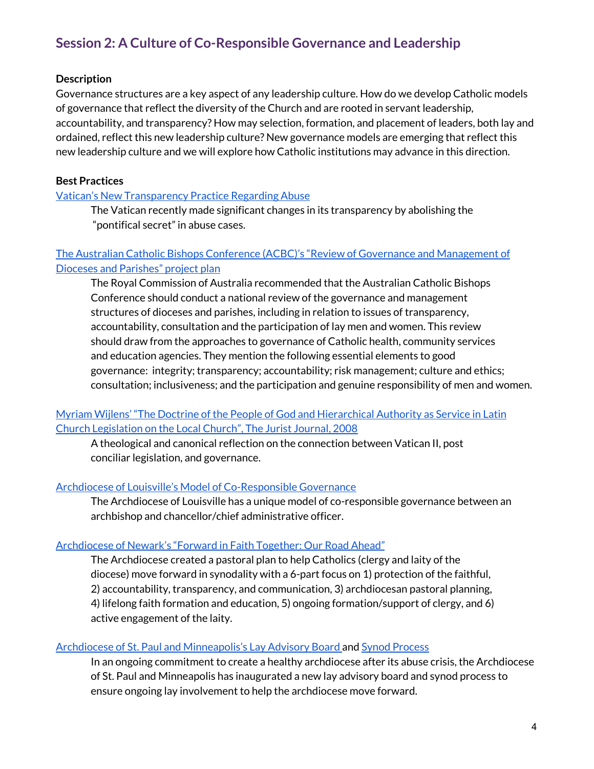# **Session 2: A Culture of Co-Responsible Governance and Leadership**

# **Description**

Governance structures are a key aspect of any leadership culture. How do we develop Catholic models of governance that reflect the diversity of the Church and are rooted in servant leadership, accountability, and transparency? How may selection, formation, and placement of leaders, both lay and ordained, reflect this new leadership culture? New governance models are emerging that reflect this new leadership culture and we will explore how Catholic institutions may advance in this direction.

# **Best Practices**

#### Vatican's New [Transparency](https://www.vaticannews.va/en/vatican-city/news/2019-12/scicluna-interview-apolish-pontifical-secret.html) Practice Regarding Abuse

The Vatican recently made significant changes in its transparency by abolishing the "pontifical secret" in abuse cases.

# The Australian Catholic Bishops Conference (ACBC)'s "Review of Governance and [Management](https://www.catholic.org.au/acbc-media/media-centre/media-releases-new/2188-governance-review-project-plan/file) of Dioceses and [Parishes"](https://www.catholic.org.au/acbc-media/media-centre/media-releases-new/2188-governance-review-project-plan/file) project plan

The Royal Commission of Australia recommended that the Australian Catholic Bishops Conference should conduct a national review of the governance and management structures of dioceses and parishes, including in relation to issues of transparency, accountability, consultation and the participation of lay men and women. This review should draw from the approaches to governance of Catholic health, community services and education agencies. They mention the following essential elements to good governance: integrity; transparency; accountability; risk management; culture and ethics; consultation; inclusiveness; and the participation and genuine responsibility of men and women.

Myriam Wijlens' "The Doctrine of the People of God and [Hierarchical](https://nlrcm.egnyte.com/dl/se1BXFUbNS) Authority as Service in Latin Church [Legislation](https://nlrcm.egnyte.com/dl/se1BXFUbNS) on the Local Church", The Jurist Journal, 2008

A theological and canonical reflection on the connection between Vatican II, post conciliar legislation, and governance.

#### Archdiocese of Louisville's Model of [Co-Responsible](https://nlrcm.egnyte.com/dl/RYE9yxjRe9) Governance

The Archdiocese of Louisville has a unique model of co-responsible governance between an archbishop and chancellor/chief administrative officer.

#### [Archdiocese](https://forward.rcan.org/uploads/1/2/7/4/127412557/pastoral_vision_pdf.pdf) of Newark's "Forward in Faith Together: Our Road Ahead"

The Archdiocese created a pastoral plan to help Catholics (clergy and laity of the diocese) move forward in synodality with a 6-part focus on 1) protection of the faithful, 2) accountability, transparency, and communication, 3) archdiocesan pastoral planning, 4) lifelong faith formation and education, 5) ongoing formation/support of clergy, and 6) active engagement of the laity.

#### Archdiocese of St. Paul and [Minneapolis's](http://thecatholicspirit.com/news/local-news/lay-advisory-boards-second-meeting-highlights-synod-efforts-at-healing/) Lay Advisory Board and Synod [Process](https://www.archspm.org/synod/)

In an ongoing commitment to create a healthy archdiocese after its abuse crisis, the Archdiocese of St. Paul and Minneapolis has inaugurated a new lay advisory board and synod process to ensure ongoing lay involvement to help the archdiocese move forward.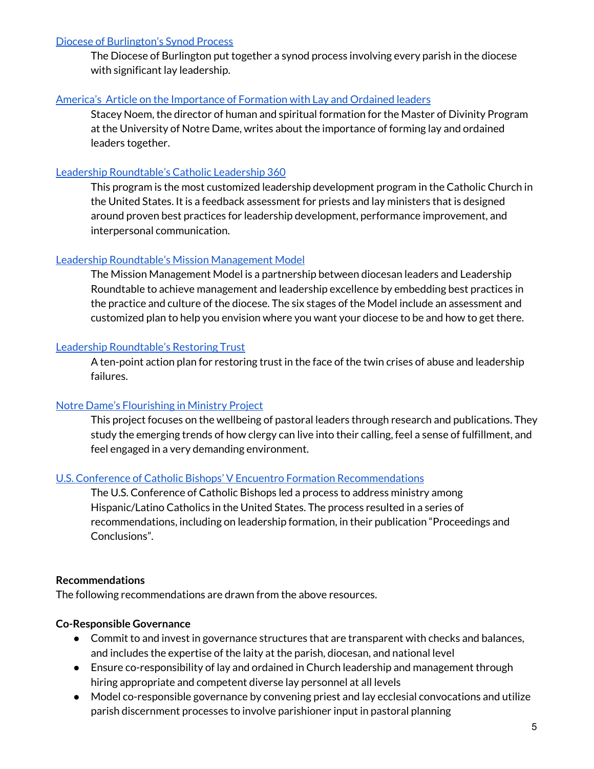#### Diocese of [Burlington's](https://www.vermontcatholic.org/vermont/diocesan-synod-overview/) Synod Process

The Diocese of Burlington put together a synod process involving every parish in the diocese with significant lay leadership.

#### America's Article on the [Importance](https://www.americamagazine.org/faith/2019/11/20/we-need-stop-separating-seminarians-lay-ministers-formation?fbclid=IwAR0cB2YDlD607Xe-Tu7IQPN6KzGtJoN7OF2TaDfFCeK-xKbIo1-ST-3Kwp8) of Formation with Lay and Ordained leaders

Stacey Noem, the director of human and spiritual formation for the Master of Divinity Program at the University of Notre Dame, writes about the importance of forming lay and ordained leaders together.

# Leadership [Roundtable's](https://leadershiproundtable.org/what-we-do/cl360/) Catholic Leadership 360

This program is the most customized leadership development program in the Catholic Church in the United States. It is a feedback assessment for priests and lay ministers that is designed around proven best practices for leadership development, performance improvement, and interpersonal communication.

# Leadership Roundtable's Mission [Management](https://nlrcm.egnyte.com/dl/4IFB0tN19B) Model

The Mission Management Model is a partnership between diocesan leaders and Leadership Roundtable to achieve management and leadership excellence by embedding best practices in the practice and culture of the diocese. The six stages of the Model include an assessment and customized plan to help you envision where you want your diocese to be and how to get there.

# Leadership [Roundtable's](https://leadershiproundtable.org/wp-content/uploads/2015/09/CrisisResourcesWebpage_RestoringTrustActionSummary_October2018.pdf) Restoring Trust

A ten-point action plan for restoring trust in the face of the twin crises of abuse and leadership failures.

# Notre Dame's [Flourishing](https://workwellresearch.org/research-projects/flourishing-in-ministry/) in Ministry Project

This project focuses on the wellbeing of pastoral leaders through research and publications. They study the emerging trends of how clergy can live into their calling, feel a sense of fulfillment, and feel engaged in a very demanding environment.

# U.S. Conference of Catholic Bishops' V Encuentro Formation [Recommendations](https://vencuentro.org/results/)

The U.S. Conference of Catholic Bishops led a process to address ministry among Hispanic/Latino Catholics in the United States. The process resulted in a series of recommendations, including on leadership formation, in their publication "Proceedings and Conclusions".

#### **Recommendations**

The following recommendations are drawn from the above resources.

# **Co-Responsible Governance**

- Commit to and invest in governance structures that are transparent with checks and balances, and includes the expertise of the laity at the parish, diocesan, and national level
- Ensure co-responsibility of lay and ordained in Church leadership and management through hiring appropriate and competent diverse lay personnel at all levels
- Model co-responsible governance by convening priest and lay ecclesial convocations and utilize parish discernment processes to involve parishioner input in pastoral planning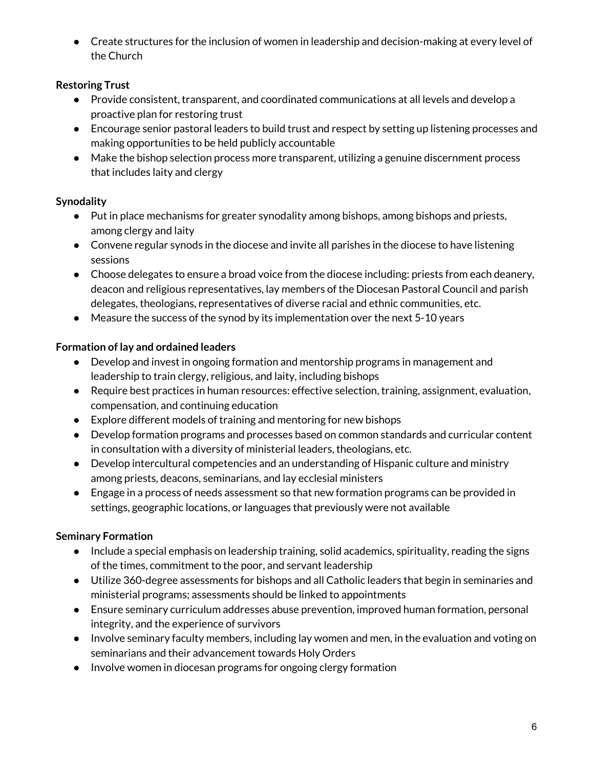● Create structures for the inclusion of women in leadership and decision-making at every level of the Church

# **Restoring Trust**

- Provide consistent, transparent, and coordinated communications at all levels and develop a proactive plan for restoring trust
- Encourage senior pastoral leaders to build trust and respect by setting up listening processes and making opportunities to be held publicly accountable
- Make the bishop selection process more transparent, utilizing a genuine discernment process that includes laity and clergy

# **Synodality**

- Put in place mechanisms for greater synodality among bishops, among bishops and priests, among clergy and laity
- Convene regular synods in the diocese and invite all parishes in the diocese to have listening sessions
- Choose delegates to ensure a broad voice from the diocese including: priests from each deanery, deacon and religious representatives, lay members of the Diocesan Pastoral Council and parish delegates, theologians, representatives of diverse racial and ethnic communities, etc.
- Measure the success of the synod by its implementation over the next 5-10 years

# **Formation of lay and ordained leaders**

- Develop and invest in ongoing formation and mentorship programs in management and leadership to train clergy, religious, and laity, including bishops
- Require best practices in human resources: effective selection, training, assignment, evaluation, compensation, and continuing education
- Explore different models of training and mentoring for new bishops
- Develop formation programs and processes based on common standards and curricular content in consultation with a diversity of ministerial leaders, theologians, etc.
- Develop intercultural competencies and an understanding of Hispanic culture and ministry among priests, deacons, seminarians, and lay ecclesial ministers
- Engage in a process of needs assessment so that new formation programs can be provided in settings, geographic locations, or languages that previously were not available

# **Seminary Formation**

- Include a special emphasis on leadership training, solid academics, spirituality, reading the signs of the times, commitment to the poor, and servant leadership
- Utilize 360-degree assessments for bishops and all Catholic leaders that begin in seminaries and ministerial programs; assessments should be linked to appointments
- Ensure seminary curriculum addresses abuse prevention, improved human formation, personal integrity, and the experience of survivors
- Involve seminary faculty members, including lay women and men, in the evaluation and voting on seminarians and their advancement towards Holy Orders
- Involve women in diocesan programs for ongoing clergy formation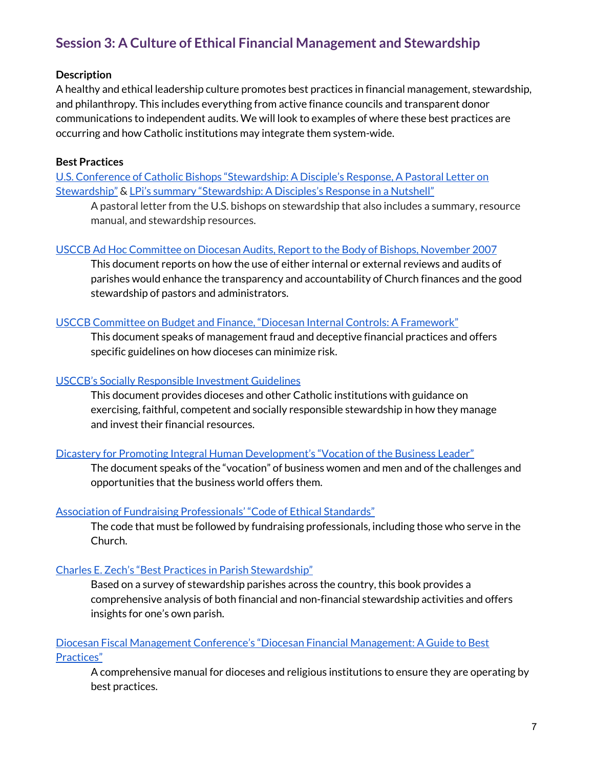# **Session 3: A Culture of Ethical Financial Management and Stewardship**

# **Description**

A healthy and ethical leadership culture promotes best practices in financial management, stewardship, and philanthropy. This includes everything from active finance councils and transparent donor communications to independent audits. We will look to examples of where these best practices are occurring and how Catholic institutions may integrate them system-wide.

#### **Best Practices**

U.S. Conference of Catholic Bishops ["Stewardship:](https://catholiclubbock.org/StewardshipADisciplesResponse.pdf) A Disciple's Response, A Pastoral Letter on [Stewardship"](https://catholiclubbock.org/StewardshipADisciplesResponse.pdf) & LPi's summary ["Stewardship:](https://www.4lpi.com/wp-content/uploads/2015/10/Stewardship_Nutshell.pdf) A Disciples's Response in a Nutshell"

A pastoral letter from the U.S. bishops on stewardship that also includes a summary, resource manual, and stewardship resources.

#### USCCB Ad Hoc [Committee](http://www.usccb.org/about/financial-reporting/upload/Report-20to-20Bishops-20Nov-2007.pdf) on Diocesan Audits, Report to the Body of Bishops, November 2007

This document reports on how the use of either internal or external reviews and audits of parishes would enhance the transparency and accountability of Church finances and the good stewardship of pastors and administrators.

#### USCCB Committee on Budget and Finance, "Diocesan Internal Controls: A [Framework"](http://www.usccb.org/about/financial-reporting/diocesan-internal-controls-framework.cfm)

This document speaks of management fraud and deceptive financial practices and offers specific guidelines on how dioceses can minimize risk.

# USCCB's Socially [Responsible](http://www.usccb.org/about/financial-reporting/socially-responsible-investment-guidelines.cfm) Investment Guidelines

This document provides dioceses and other Catholic institutions with guidance on exercising, faithful, competent and socially responsible stewardship in how they manage and invest their financial resources.

#### Dicastery for Promoting Integral Human [Development's](https://www.stthomas.edu/media/catholicstudies/center/ryan/publications/publicationpdfs/vocationofthebusinessleaderpdf/FinalTextTheVocationoftheBusinessLeader.pdf) "Vocation of the Business Leader"

The document speaks of the "vocation" of business women and men and of the challenges and opportunities that the business world offers them.

#### Association of Fundraising [Professionals'](https://afpglobal.org/sites/default/files/attachments/2019-03/CodeofEthics.pdf) "Code of Ethical Standards"

The code that must be followed by fundraising professionals, including those who serve in the Church.

# Charles E. Zech's "Best Practices in Parish [Stewardship"](https://www.osvcatholicbookstore.com/product/best-practices-in-parish-stewardship)

Based on a survey of stewardship parishes across the country, this book provides a comprehensive analysis of both financial and non-financial stewardship activities and offers insights for one's own parish.

# Diocesan Fiscal Management Conference's "Diocesan Financial [Management:](https://dfmconf.org/resources-and-publications/diocesan-financial-issues/file) A Guide to Best [Practices"](https://dfmconf.org/resources-and-publications/diocesan-financial-issues/file)

A comprehensive manual for dioceses and religious institutions to ensure they are operating by best practices.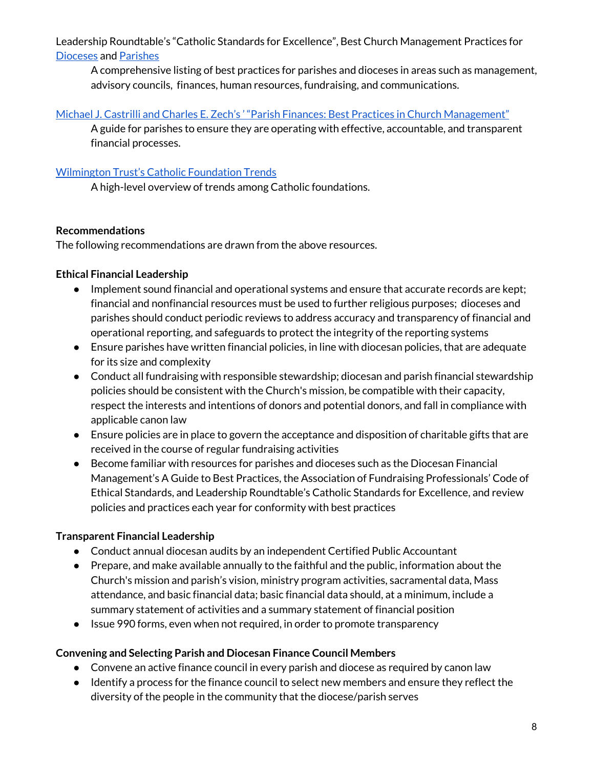Leadership Roundtable's "Catholic Standards for Excellence", Best Church Management Practices fo[r](https://nlrcm.egnyte.com/dl/rx74rehmqS) [Dioceses](https://nlrcm.egnyte.com/dl/rx74rehmqS) and [Parishes](https://nlrcm.egnyte.com/dl/LPl9vLHRkY/)

A comprehensive listing of best practices for parishes and dioceses in areas such as management, advisory councils, finances, human resources, fundraising, and communications.

# Michael J. Castrilli and Charles E. Zech's ' "Parish Finances: Best Practices in Church [Management"](http://www.paulistpress.com/Products/4995-7/parish-finance.aspx)

A guide for parishes to ensure they are operating with effective, accountable, and transparent financial processes.

# [Wilmington](https://www.wilmingtontrust.com/repositories/wtc_sitecontent/PDF/Catholic-Foundations-Continue-to-Advance-in-the-United-States.pdf) Trust's Catholic Foundation Trends

A high-level overview of trends among Catholic foundations.

# **Recommendations**

The following recommendations are drawn from the above resources.

# **Ethical Financial Leadership**

- Implement sound financial and operational systems and ensure that accurate records are kept; financial and nonfinancial resources must be used to further religious purposes; dioceses and parishes should conduct periodic reviews to address accuracy and transparency of financial and operational reporting, and safeguards to protect the integrity of the reporting systems
- Ensure parishes have written financial policies, in line with diocesan policies, that are adequate for its size and complexity
- Conduct all fundraising with responsible stewardship; diocesan and parish financial stewardship policies should be consistent with the Church's mission, be compatible with their capacity, respect the interests and intentions of donors and potential donors, and fall in compliance with applicable canon law
- Ensure policies are in place to govern the acceptance and disposition of charitable gifts that are received in the course of regular fundraising activities
- Become familiar with resources for parishes and dioceses such as the Diocesan Financial Management's A Guide to Best Practices, the Association of Fundraising Professionals' Code of Ethical Standards, and Leadership Roundtable's Catholic Standards for Excellence, and review policies and practices each year for conformity with best practices

# **Transparent Financial Leadership**

- Conduct annual diocesan audits by an independent Certified Public Accountant
- Prepare, and make available annually to the faithful and the public, information about the Church's mission and parish's vision, ministry program activities, sacramental data, Mass attendance, and basic financial data; basic financial data should, at a minimum, include a summary statement of activities and a summary statement of financial position
- Issue 990 forms, even when not required, in order to promote transparency

# **Convening and Selecting Parish and Diocesan Finance Council Members**

- Convene an active finance council in every parish and diocese as required by canon law
- Identify a process for the finance council to select new members and ensure they reflect the diversity of the people in the community that the diocese/parish serves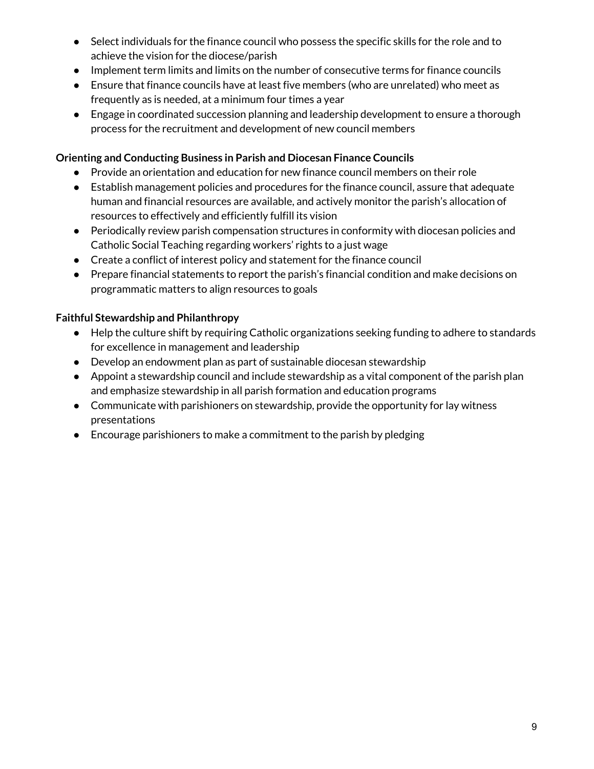- Select individuals for the finance council who possess the specific skills for the role and to achieve the vision for the diocese/parish
- Implement term limits and limits on the number of consecutive terms for finance councils
- Ensure that finance councils have at least five members (who are unrelated) who meet as frequently as is needed, at a minimum four times a year
- Engage in coordinated succession planning and leadership development to ensure a thorough process for the recruitment and development of new council members

# **Orienting and Conducting Business in Parish and Diocesan Finance Councils**

- Provide an orientation and education for new finance council members on their role
- Establish management policies and procedures for the finance council, assure that adequate human and financial resources are available, and actively monitor the parish's allocation of resources to effectively and efficiently fulfill its vision
- Periodically review parish compensation structures in conformity with diocesan policies and Catholic Social Teaching regarding workers' rights to a just wage
- Create a conflict of interest policy and statement for the finance council
- Prepare financial statements to report the parish's financial condition and make decisions on programmatic matters to align resources to goals

# **Faithful Stewardship and Philanthropy**

- Help the culture shift by requiring Catholic organizations seeking funding to adhere to standards for excellence in management and leadership
- Develop an endowment plan as part of sustainable diocesan stewardship
- Appoint a stewardship council and include stewardship as a vital component of the parish plan and emphasize stewardship in all parish formation and education programs
- Communicate with parishioners on stewardship, provide the opportunity for lay witness presentations
- Encourage parishioners to make a commitment to the parish by pledging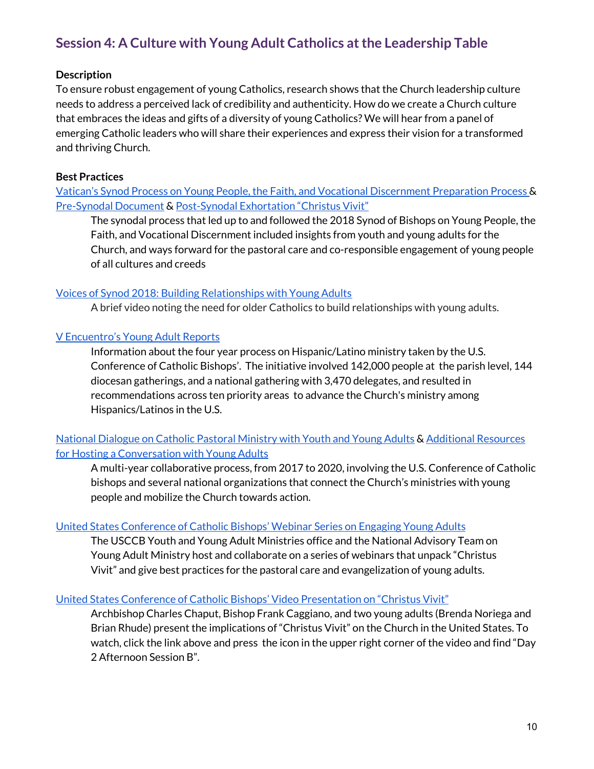# **Session 4: A Culture with Young Adult Catholics atthe Leadership Table**

# **Description**

To ensure robust engagement of young Catholics, research shows that the Church leadership culture needs to address a perceived lack of credibility and authenticity. How do we create a Church culture that embraces the ideas and gifts of a diversity of young Catholics? We will hear from a panel of emerging Catholic leaders who will share their experiences and express their vision for a transformed and thriving Church.

# **Best Practices**

Vatican's Synod Process on Young People, the Faith, and Vocational [Discernment](https://www.vaticannews.va/en/vatican-city/news/2018-02/synod-bishops-young-people-social-media-.html) Preparation Process & [Pre-Synodal](http://www.synod.va/content/synod2018/en/news/final-document-from-the-pre-synodal-meeting.html) Document & [Post-Synodal](http://www.synod2018.va/content/synod2018/en/fede-discernimento-vocazione/-christus-vivit---post-synodal-exhortation-to-young-people-and-t.html) Exhortation "Christus Vivit"

The synodal process that led up to and followed the 2018 Synod of Bishops on Young People, the Faith, and Vocational Discernment included insights from youth and young adults for the Church, and ways forward for the pastoral care and co-responsible engagement of young people of all cultures and creeds

# Voices of Synod 2018: Building [Relationships](https://grottonetwork.com/keep-the-faith/community/jonathan-lewis-address-synod-2018/) with Young Adults

A brief video noting the need for older Catholics to build relationships with young adults.

# V [Encuentro's](https://vencuentro.org/jovenes-young-people/) Young Adult Reports

Information about the four year process on Hispanic/Latino ministry taken by the U.S. Conference of Catholic Bishops'. The initiative involved 142,000 people at the parish level, 144 diocesan gatherings, and a national gathering with 3,470 delegates, and resulted in recommendations across ten priority areas to advance the Church's ministry among Hispanics/Latinos in the U.S.

# National [Dialogue](https://www.nationaldialogue.info/) on Catholic Pastoral Ministry with Youth and Young Adults & Additional [Resources](https://www.nationaldialogue.info/comprehensive-reference) for Hosting a [Conversation](https://www.nationaldialogue.info/comprehensive-reference) with Young Adults

A multi-year collaborative process, from 2017 to 2020, involving the U.S. Conference of Catholic bishops and several national organizations that connect the Church's ministries with young people and mobilize the Church towards action.

# United States [Conference](http://www.usccb.org/about/bishops-and-dioceses/synod-of-bishops/synod-2018/upcoming-opportunities.cfm) of Catholic Bishops' Webinar Series on Engaging Young Adults

The USCCB Youth and Young Adult Ministries office and the National Advisory Team on Young Adult Ministry host and collaborate on a series of webinars that unpack "Christus Vivit" and give best practices for the pastoral care and evangelization of young adults.

#### United States Conference of Catholic Bishops' Video [Presentation](http://www.usccb.org/about/leadership/usccb-general-assembly/video-on-demand.cfm) on "Christus Vivit"

Archbishop Charles Chaput, Bishop Frank Caggiano, and two young adults (Brenda Noriega and Brian Rhude) present the implications of "Christus Vivit" on the Church in the United States. To watch, click the link above and press the icon in the upper right corner of the video and find "Day 2 Afternoon Session B".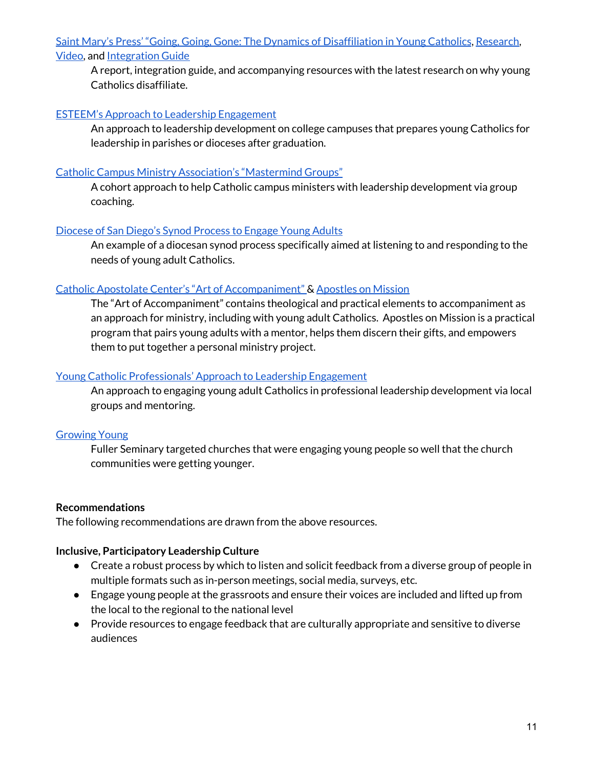Saint Mary's Press' ["Going,](https://cruxnow.com/church-in-the-usa/2018/01/new-study-seeks-understand-young-people-leave-church/) Going, Gone: The Dynamics of [Disaffiliation](https://cruxnow.com/church-in-the-usa/2018/01/new-study-seeks-understand-young-people-leave-church/) in Young Catholics, [Research,](https://catholicresearch.smp.org/) [Video,](https://www.smp.org/product/5927/Beyond-Disaffiliation/) and [Integration](https://nlrcm.egnyte.com/dl/v83YuIInkS) Guide

A report, integration guide, and accompanying resources with the latest research on why young Catholics disaffiliate.

# ESTEEM's Approach to Leadership [Engagement](http://www.esteemleadership.org/)

An approach to leadership development on college campuses that prepares young Catholics for leadership in parishes or dioceses after graduation.

# Catholic Campus Ministry [Association's](https://www.ccmanetwork.org/mastermind) "Mastermind Groups"

A cohort approach to help Catholic campus ministers with leadership development via group coaching.

# [Diocese](https://www.sdcatholic.org/wp-content/uploads/synod/young-adult/documents/young-adult-synod-about.pdf) of San Diego's Synod Process to Engage Young Adults

An example of a diocesan synod process specifically aimed at listening to and responding to the needs of young adult Catholics.

# Catholic Apostolate Center's "Art of [Accompaniment"](https://www.catholicapostolatecenter.org/accompaniment.html) & [Apostles](https://www.apostlesonmission.org/) on Mission

The "Art of Accompaniment" contains theological and practical elements to accompaniment as an approach for ministry, including with young adult Catholics. Apostles on Mission is a practical program that pairs young adults with a mentor, helps them discern their gifts, and empowers them to put together a personal ministry project.

# Young Catholic [Professionals'](https://www.youngcatholicprofessionals.org/) Approach to Leadership Engagement

An approach to engaging young adult Catholics in professional leadership development via local groups and mentoring.

# [Growing](https://fulleryouthinstitute.org/assets/fyi-files/Growing_Young_Wheel_Handout.pdf.) Young

Fuller Seminary targeted churches that were engaging young people so well that the church communities were getting younger.

#### **Recommendations**

The following recommendations are drawn from the above resources.

# **Inclusive, Participatory Leadership Culture**

- Create a robust process by which to listen and solicit feedback from a diverse group of people in multiple formats such as in-person meetings, social media, surveys, etc.
- Engage young people at the grassroots and ensure their voices are included and lifted up from the local to the regional to the national level
- Provide resources to engage feedback that are culturally appropriate and sensitive to diverse audiences